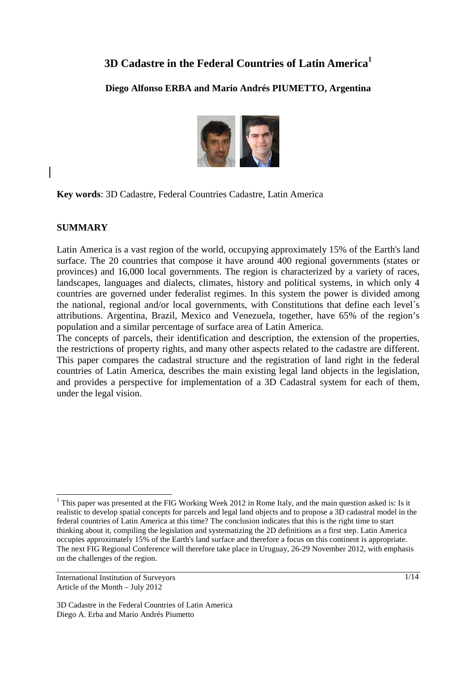# **3D Cadastre in the Federal Countries of Latin America<sup>1</sup>**

## **Diego Alfonso ERBA and Mario Andrés PIUMETTO, Argentina**



**Key words**: 3D Cadastre, Federal Countries Cadastre, Latin America

#### **SUMMARY**

Latin America is a vast region of the world, occupying approximately 15% of the Earth's land surface. The 20 countries that compose it have around 400 regional governments (states or provinces) and 16,000 local governments. The region is characterized by a variety of races, landscapes, languages and dialects, climates, history and political systems, in which only 4 countries are governed under federalist regimes. In this system the power is divided among the national, regional and/or local governments, with Constitutions that define each level´s attributions. Argentina, Brazil, Mexico and Venezuela, together, have 65% of the region's population and a similar percentage of surface area of Latin America.

The concepts of parcels, their identification and description, the extension of the properties, the restrictions of property rights, and many other aspects related to the cadastre are different. This paper compares the cadastral structure and the registration of land right in the federal countries of Latin America, describes the main existing legal land objects in the legislation, and provides a perspective for implementation of a 3D Cadastral system for each of them, under the legal vision.

 $\overline{a}$ <sup>1</sup> This paper was presented at the FIG Working Week 2012 in Rome Italy, and the main question asked is: Is it realistic to develop spatial concepts for parcels and legal land objects and to propose a 3D cadastral model in the federal countries of Latin America at this time? The conclusion indicates that this is the right time to start thinking about it, compiling the legislation and systematizing the 2D definitions as a first step. Latin America occupies approximately 15% of the Earth's land surface and therefore a focus on this continent is appropriate. The next FIG Regional Conference will therefore take place in Uruguay, 26-29 November 2012, with emphasis on the challenges of the region.

International Institution of Surveyors Article of the Month – July 2012

<sup>3</sup>D Cadastre in the Federal Countries of Latin America Diego A. Erba and Mario Andrés Piumetto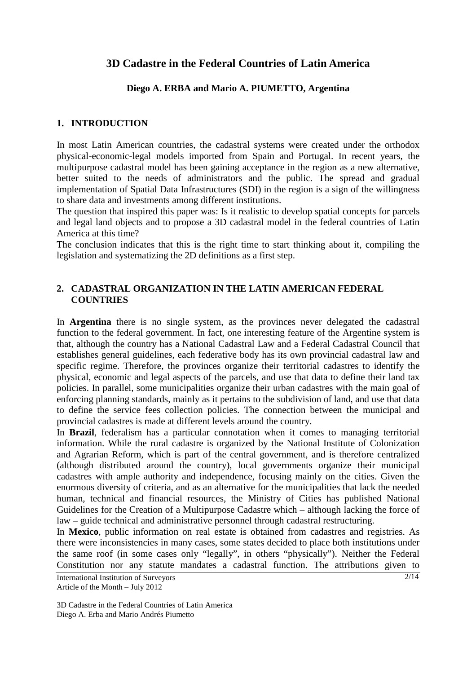## **3D Cadastre in the Federal Countries of Latin America**

## **Diego A. ERBA and Mario A. PIUMETTO, Argentina**

## **1. INTRODUCTION**

In most Latin American countries, the cadastral systems were created under the orthodox physical-economic-legal models imported from Spain and Portugal. In recent years, the multipurpose cadastral model has been gaining acceptance in the region as a new alternative, better suited to the needs of administrators and the public. The spread and gradual implementation of Spatial Data Infrastructures (SDI) in the region is a sign of the willingness to share data and investments among different institutions.

The question that inspired this paper was: Is it realistic to develop spatial concepts for parcels and legal land objects and to propose a 3D cadastral model in the federal countries of Latin America at this time?

The conclusion indicates that this is the right time to start thinking about it, compiling the legislation and systematizing the 2D definitions as a first step.

## **2. CADASTRAL ORGANIZATION IN THE LATIN AMERICAN FEDERAL COUNTRIES**

In **Argentina** there is no single system, as the provinces never delegated the cadastral function to the federal government. In fact, one interesting feature of the Argentine system is that, although the country has a National Cadastral Law and a Federal Cadastral Council that establishes general guidelines, each federative body has its own provincial cadastral law and specific regime. Therefore, the provinces organize their territorial cadastres to identify the physical, economic and legal aspects of the parcels, and use that data to define their land tax policies. In parallel, some municipalities organize their urban cadastres with the main goal of enforcing planning standards, mainly as it pertains to the subdivision of land, and use that data to define the service fees collection policies. The connection between the municipal and provincial cadastres is made at different levels around the country.

In **Brazil**, federalism has a particular connotation when it comes to managing territorial information. While the rural cadastre is organized by the National Institute of Colonization and Agrarian Reform, which is part of the central government, and is therefore centralized (although distributed around the country), local governments organize their municipal cadastres with ample authority and independence, focusing mainly on the cities. Given the enormous diversity of criteria, and as an alternative for the municipalities that lack the needed human, technical and financial resources, the Ministry of Cities has published National Guidelines for the Creation of a Multipurpose Cadastre which – although lacking the force of law – guide technical and administrative personnel through cadastral restructuring.

In **Mexico**, public information on real estate is obtained from cadastres and registries. As there were inconsistencies in many cases, some states decided to place both institutions under the same roof (in some cases only "legally", in others "physically"). Neither the Federal Constitution nor any statute mandates a cadastral function. The attributions given to

International Institution of Surveyors Article of the Month – July 2012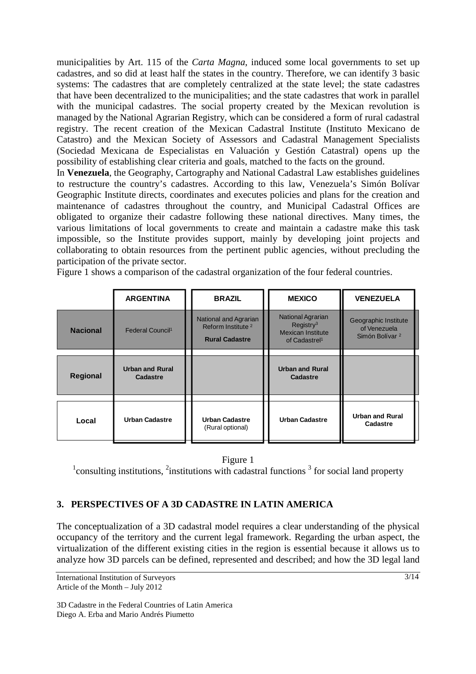municipalities by Art. 115 of the *Carta Magna*, induced some local governments to set up cadastres, and so did at least half the states in the country. Therefore, we can identify 3 basic systems: The cadastres that are completely centralized at the state level; the state cadastres that have been decentralized to the municipalities; and the state cadastres that work in parallel with the municipal cadastres. The social property created by the Mexican revolution is managed by the National Agrarian Registry, which can be considered a form of rural cadastral registry. The recent creation of the Mexican Cadastral Institute (Instituto Mexicano de Catastro) and the Mexican Society of Assessors and Cadastral Management Specialists (Sociedad Mexicana de Especialistas en Valuación y Gestión Catastral) opens up the possibility of establishing clear criteria and goals, matched to the facts on the ground.

In **Venezuela**, the Geography, Cartography and National Cadastral Law establishes guidelines to restructure the country's cadastres. According to this law, Venezuela's Simón Bolívar Geographic Institute directs, coordinates and executes policies and plans for the creation and maintenance of cadastres throughout the country, and Municipal Cadastral Offices are obligated to organize their cadastre following these national directives. Many times, the various limitations of local governments to create and maintain a cadastre make this task impossible, so the Institute provides support, mainly by developing joint projects and collaborating to obtain resources from the pertinent public agencies, without precluding the participation of the private sector.

Figure 1 shows a comparison of the cadastral organization of the four federal countries.

|                 | <b>ARGENTINA</b>             | <b>BRAZIL</b>                                                                   | <b>MEXICO</b>                                                                                       | <b>VENEZUELA</b>                                                   |
|-----------------|------------------------------|---------------------------------------------------------------------------------|-----------------------------------------------------------------------------------------------------|--------------------------------------------------------------------|
| <b>Nacional</b> | Federal Council <sup>1</sup> | National and Agrarian<br>Reform Institute <sup>2</sup><br><b>Rural Cadastre</b> | National Agrarian<br>Registry <sup>3</sup><br><b>Mexican Institute</b><br>of Cadastrel <sup>1</sup> | Geographic Institute<br>of Venezuela<br>Simón Bolívar <sup>2</sup> |
|                 | <b>Urban and Rural</b>       |                                                                                 | <b>Urban and Rural</b>                                                                              |                                                                    |
| <b>Regional</b> | Cadastre                     |                                                                                 | <b>Cadastre</b>                                                                                     |                                                                    |
|                 |                              |                                                                                 |                                                                                                     |                                                                    |
| Local           | <b>Urban Cadastre</b>        | <b>Urban Cadastre</b><br>(Rural optional)                                       | <b>Urban Cadastre</b>                                                                               | <b>Urban and Rural</b><br>Cadastre                                 |

## Figure 1

 $1$ consulting institutions,  $2$ institutions with cadastral functions  $3$  for social land property

## **3. PERSPECTIVES OF A 3D CADASTRE IN LATIN AMERICA**

The conceptualization of a 3D cadastral model requires a clear understanding of the physical occupancy of the territory and the current legal framework. Regarding the urban aspect, the virtualization of the different existing cities in the region is essential because it allows us to analyze how 3D parcels can be defined, represented and described; and how the 3D legal land

International Institution of Surveyors Article of the Month – July 2012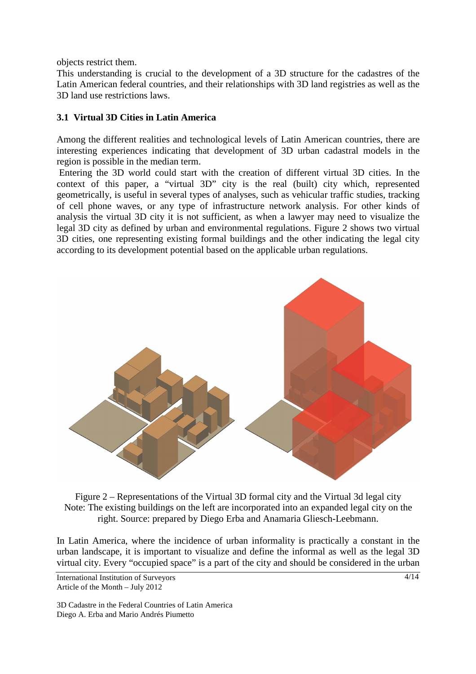objects restrict them.

This understanding is crucial to the development of a 3D structure for the cadastres of the Latin American federal countries, and their relationships with 3D land registries as well as the 3D land use restrictions laws.

#### **3.1 Virtual 3D Cities in Latin America**

Among the different realities and technological levels of Latin American countries, there are interesting experiences indicating that development of 3D urban cadastral models in the region is possible in the median term.

 Entering the 3D world could start with the creation of different virtual 3D cities. In the context of this paper, a "virtual 3D" city is the real (built) city which, represented geometrically, is useful in several types of analyses, such as vehicular traffic studies, tracking of cell phone waves, or any type of infrastructure network analysis. For other kinds of analysis the virtual 3D city it is not sufficient, as when a lawyer may need to visualize the legal 3D city as defined by urban and environmental regulations. Figure 2 shows two virtual 3D cities, one representing existing formal buildings and the other indicating the legal city according to its development potential based on the applicable urban regulations.



Figure 2 – Representations of the Virtual 3D formal city and the Virtual 3d legal city Note: The existing buildings on the left are incorporated into an expanded legal city on the right. Source: prepared by Diego Erba and Anamaria Gliesch-Leebmann.

In Latin America, where the incidence of urban informality is practically a constant in the urban landscape, it is important to visualize and define the informal as well as the legal 3D virtual city. Every "occupied space" is a part of the city and should be considered in the urban

International Institution of Surveyors Article of the Month – July 2012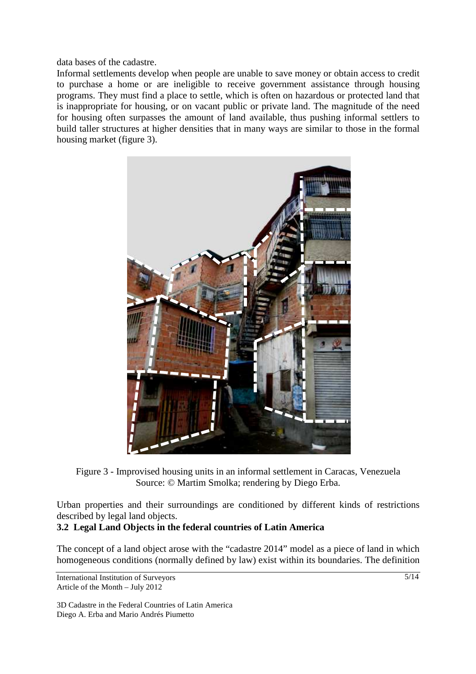data bases of the cadastre.

Informal settlements develop when people are unable to save money or obtain access to credit to purchase a home or are ineligible to receive government assistance through housing programs. They must find a place to settle, which is often on hazardous or protected land that is inappropriate for housing, or on vacant public or private land. The magnitude of the need for housing often surpasses the amount of land available, thus pushing informal settlers to build taller structures at higher densities that in many ways are similar to those in the formal housing market (figure 3).



Figure 3 - Improvised housing units in an informal settlement in Caracas, Venezuela Source: © Martim Smolka; rendering by Diego Erba.

Urban properties and their surroundings are conditioned by different kinds of restrictions described by legal land objects.

## **3.2 Legal Land Objects in the federal countries of Latin America**

The concept of a land object arose with the "cadastre 2014" model as a piece of land in which homogeneous conditions (normally defined by law) exist within its boundaries. The definition

International Institution of Surveyors Article of the Month – July 2012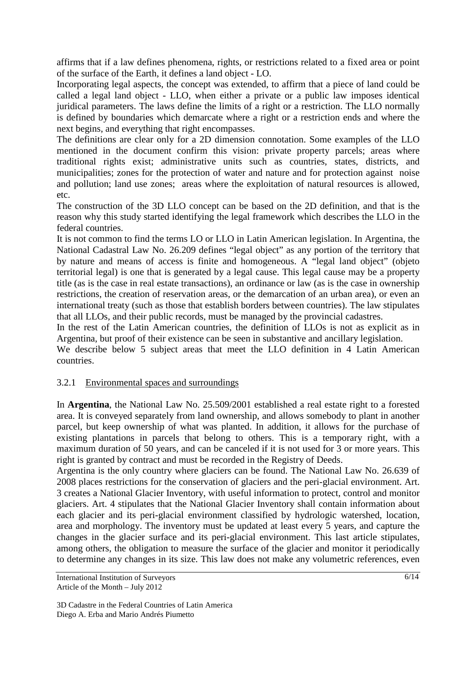affirms that if a law defines phenomena, rights, or restrictions related to a fixed area or point of the surface of the Earth, it defines a land object - LO.

Incorporating legal aspects, the concept was extended, to affirm that a piece of land could be called a legal land object - LLO, when either a private or a public law imposes identical juridical parameters. The laws define the limits of a right or a restriction. The LLO normally is defined by boundaries which demarcate where a right or a restriction ends and where the next begins, and everything that right encompasses.

The definitions are clear only for a 2D dimension connotation. Some examples of the LLO mentioned in the document confirm this vision: private property parcels; areas where traditional rights exist; administrative units such as countries, states, districts, and municipalities; zones for the protection of water and nature and for protection against noise and pollution; land use zones; areas where the exploitation of natural resources is allowed, etc.

The construction of the 3D LLO concept can be based on the 2D definition, and that is the reason why this study started identifying the legal framework which describes the LLO in the federal countries.

It is not common to find the terms LO or LLO in Latin American legislation. In Argentina, the National Cadastral Law No. 26.209 defines "legal object" as any portion of the territory that by nature and means of access is finite and homogeneous. A "legal land object" (objeto territorial legal) is one that is generated by a legal cause. This legal cause may be a property title (as is the case in real estate transactions), an ordinance or law (as is the case in ownership restrictions, the creation of reservation areas, or the demarcation of an urban area), or even an international treaty (such as those that establish borders between countries). The law stipulates that all LLOs, and their public records, must be managed by the provincial cadastres.

In the rest of the Latin American countries, the definition of LLOs is not as explicit as in Argentina, but proof of their existence can be seen in substantive and ancillary legislation.

We describe below 5 subject areas that meet the LLO definition in 4 Latin American countries.

## 3.2.1 Environmental spaces and surroundings

In **Argentina**, the National Law No. 25.509/2001 established a real estate right to a forested area. It is conveyed separately from land ownership, and allows somebody to plant in another parcel, but keep ownership of what was planted. In addition, it allows for the purchase of existing plantations in parcels that belong to others. This is a temporary right, with a maximum duration of 50 years, and can be canceled if it is not used for 3 or more years. This right is granted by contract and must be recorded in the Registry of Deeds.

Argentina is the only country where glaciers can be found. The National Law No. 26.639 of 2008 places restrictions for the conservation of glaciers and the peri-glacial environment. Art. 3 creates a National Glacier Inventory, with useful information to protect, control and monitor glaciers. Art. 4 stipulates that the National Glacier Inventory shall contain information about each glacier and its peri-glacial environment classified by hydrologic watershed, location, area and morphology. The inventory must be updated at least every 5 years, and capture the changes in the glacier surface and its peri-glacial environment. This last article stipulates, among others, the obligation to measure the surface of the glacier and monitor it periodically to determine any changes in its size. This law does not make any volumetric references, even

International Institution of Surveyors Article of the Month – July 2012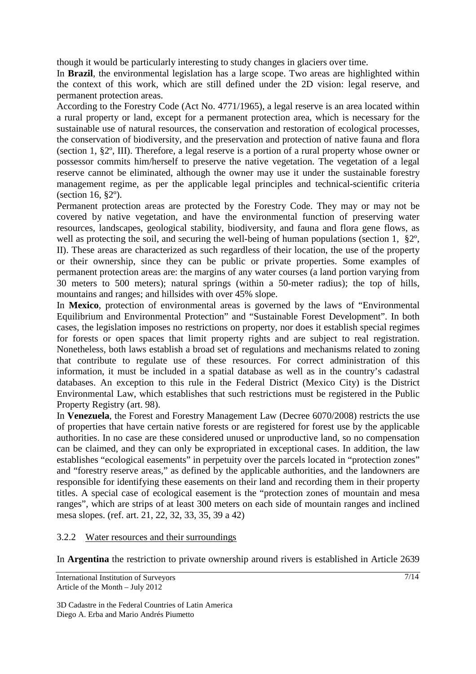though it would be particularly interesting to study changes in glaciers over time.

In **Brazil**, the environmental legislation has a large scope. Two areas are highlighted within the context of this work, which are still defined under the 2D vision: legal reserve, and permanent protection areas.

According to the Forestry Code (Act No. 4771/1965), a legal reserve is an area located within a rural property or land, except for a permanent protection area, which is necessary for the sustainable use of natural resources, the conservation and restoration of ecological processes, the conservation of biodiversity, and the preservation and protection of native fauna and flora (section 1, §2º, III). Therefore, a legal reserve is a portion of a rural property whose owner or possessor commits him/herself to preserve the native vegetation. The vegetation of a legal reserve cannot be eliminated, although the owner may use it under the sustainable forestry management regime, as per the applicable legal principles and technical-scientific criteria (section 16, §2º).

Permanent protection areas are protected by the Forestry Code. They may or may not be covered by native vegetation, and have the environmental function of preserving water resources, landscapes, geological stability, biodiversity, and fauna and flora gene flows, as well as protecting the soil, and securing the well-being of human populations (section 1, §2º, II). These areas are characterized as such regardless of their location, the use of the property or their ownership, since they can be public or private properties. Some examples of permanent protection areas are: the margins of any water courses (a land portion varying from 30 meters to 500 meters); natural springs (within a 50-meter radius); the top of hills, mountains and ranges; and hillsides with over 45% slope.

In **Mexico**, protection of environmental areas is governed by the laws of "Environmental Equilibrium and Environmental Protection" and "Sustainable Forest Development". In both cases, the legislation imposes no restrictions on property, nor does it establish special regimes for forests or open spaces that limit property rights and are subject to real registration. Nonetheless, both laws establish a broad set of regulations and mechanisms related to zoning that contribute to regulate use of these resources. For correct administration of this information, it must be included in a spatial database as well as in the country's cadastral databases. An exception to this rule in the Federal District (Mexico City) is the District Environmental Law, which establishes that such restrictions must be registered in the Public Property Registry (art. 98).

In **Venezuela**, the Forest and Forestry Management Law (Decree 6070/2008) restricts the use of properties that have certain native forests or are registered for forest use by the applicable authorities. In no case are these considered unused or unproductive land, so no compensation can be claimed, and they can only be expropriated in exceptional cases. In addition, the law establishes "ecological easements" in perpetuity over the parcels located in "protection zones" and "forestry reserve areas," as defined by the applicable authorities, and the landowners are responsible for identifying these easements on their land and recording them in their property titles. A special case of ecological easement is the "protection zones of mountain and mesa ranges", which are strips of at least 300 meters on each side of mountain ranges and inclined mesa slopes. (ref. art. 21, 22, 32, 33, 35, 39 a 42)

#### 3.2.2 Water resources and their surroundings

In **Argentina** the restriction to private ownership around rivers is established in Article 2639

International Institution of Surveyors Article of the Month – July 2012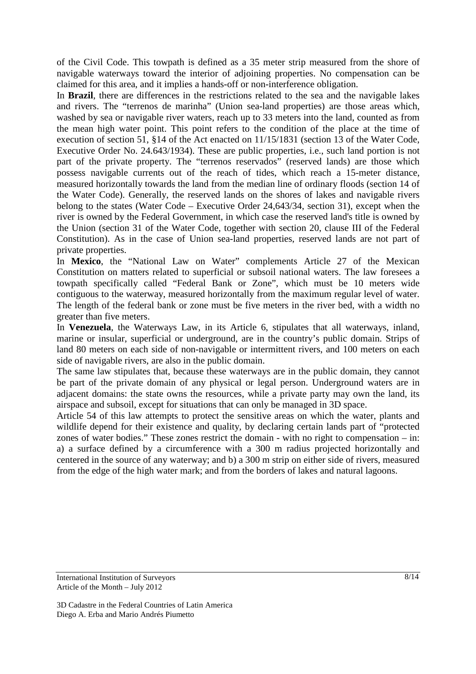of the Civil Code. This towpath is defined as a 35 meter strip measured from the shore of navigable waterways toward the interior of adjoining properties. No compensation can be claimed for this area, and it implies a hands-off or non-interference obligation.

In **Brazil**, there are differences in the restrictions related to the sea and the navigable lakes and rivers. The "terrenos de marinha" (Union sea-land properties) are those areas which, washed by sea or navigable river waters, reach up to 33 meters into the land, counted as from the mean high water point. This point refers to the condition of the place at the time of execution of section 51, §14 of the Act enacted on 11/15/1831 (section 13 of the Water Code, Executive Order No. 24.643/1934). These are public properties, i.e., such land portion is not part of the private property. The "terrenos reservados" (reserved lands) are those which possess navigable currents out of the reach of tides, which reach a 15-meter distance, measured horizontally towards the land from the median line of ordinary floods (section 14 of the Water Code). Generally, the reserved lands on the shores of lakes and navigable rivers belong to the states (Water Code – Executive Order 24,643/34, section 31), except when the river is owned by the Federal Government, in which case the reserved land's title is owned by the Union (section 31 of the Water Code, together with section 20, clause III of the Federal Constitution). As in the case of Union sea-land properties, reserved lands are not part of private properties.

In **Mexico**, the "National Law on Water" complements Article 27 of the Mexican Constitution on matters related to superficial or subsoil national waters. The law foresees a towpath specifically called "Federal Bank or Zone", which must be 10 meters wide contiguous to the waterway, measured horizontally from the maximum regular level of water. The length of the federal bank or zone must be five meters in the river bed, with a width no greater than five meters.

In **Venezuela**, the Waterways Law, in its Article 6, stipulates that all waterways, inland, marine or insular, superficial or underground, are in the country's public domain. Strips of land 80 meters on each side of non-navigable or intermittent rivers, and 100 meters on each side of navigable rivers, are also in the public domain.

The same law stipulates that, because these waterways are in the public domain, they cannot be part of the private domain of any physical or legal person. Underground waters are in adjacent domains: the state owns the resources, while a private party may own the land, its airspace and subsoil, except for situations that can only be managed in 3D space.

Article 54 of this law attempts to protect the sensitive areas on which the water, plants and wildlife depend for their existence and quality, by declaring certain lands part of "protected zones of water bodies." These zones restrict the domain - with no right to compensation – in: a) a surface defined by a circumference with a 300 m radius projected horizontally and centered in the source of any waterway; and b) a 300 m strip on either side of rivers, measured from the edge of the high water mark; and from the borders of lakes and natural lagoons.

International Institution of Surveyors Article of the Month – July 2012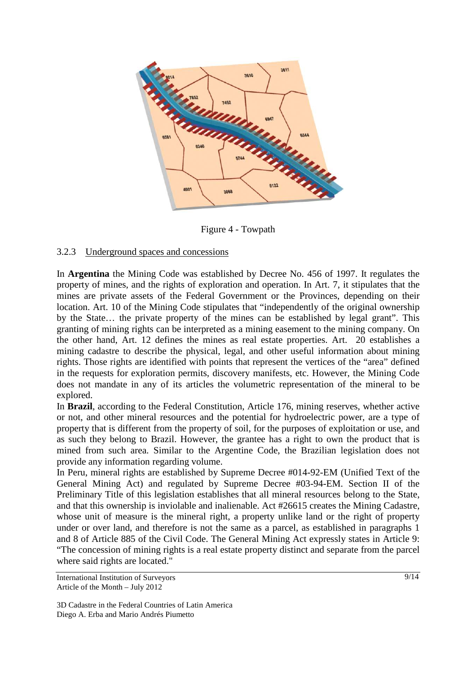

Figure 4 - Towpath

#### 3.2.3 Underground spaces and concessions

In **Argentina** the Mining Code was established by Decree No. 456 of 1997. It regulates the property of mines, and the rights of exploration and operation. In Art. 7, it stipulates that the mines are private assets of the Federal Government or the Provinces, depending on their location. Art. 10 of the Mining Code stipulates that "independently of the original ownership by the State… the private property of the mines can be established by legal grant". This granting of mining rights can be interpreted as a mining easement to the mining company. On the other hand, Art. 12 defines the mines as real estate properties. Art. 20 establishes a mining cadastre to describe the physical, legal, and other useful information about mining rights. Those rights are identified with points that represent the vertices of the "area" defined in the requests for exploration permits, discovery manifests, etc. However, the Mining Code does not mandate in any of its articles the volumetric representation of the mineral to be explored.

In **Brazil**, according to the Federal Constitution, Article 176, mining reserves, whether active or not, and other mineral resources and the potential for hydroelectric power, are a type of property that is different from the property of soil, for the purposes of exploitation or use, and as such they belong to Brazil. However, the grantee has a right to own the product that is mined from such area. Similar to the Argentine Code, the Brazilian legislation does not provide any information regarding volume.

In Peru, mineral rights are established by Supreme Decree #014-92-EM (Unified Text of the General Mining Act) and regulated by Supreme Decree #03-94-EM. Section II of the Preliminary Title of this legislation establishes that all mineral resources belong to the State, and that this ownership is inviolable and inalienable. Act #26615 creates the Mining Cadastre, whose unit of measure is the mineral right, a property unlike land or the right of property under or over land, and therefore is not the same as a parcel, as established in paragraphs 1 and 8 of Article 885 of the Civil Code. The General Mining Act expressly states in Article 9: "The concession of mining rights is a real estate property distinct and separate from the parcel where said rights are located."

International Institution of Surveyors Article of the Month – July 2012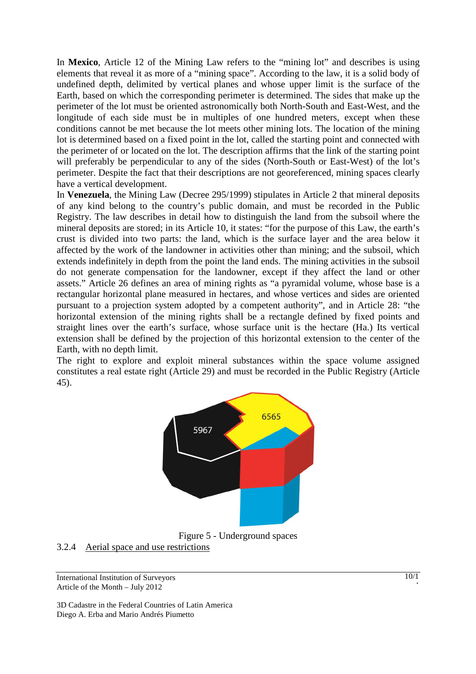In **Mexico**, Article 12 of the Mining Law refers to the "mining lot" and describes is using elements that reveal it as more of a "mining space". According to the law, it is a solid body of undefined depth, delimited by vertical planes and whose upper limit is the surface of the Earth, based on which the corresponding perimeter is determined. The sides that make up the perimeter of the lot must be oriented astronomically both North-South and East-West, and the longitude of each side must be in multiples of one hundred meters, except when these conditions cannot be met because the lot meets other mining lots. The location of the mining lot is determined based on a fixed point in the lot, called the starting point and connected with the perimeter of or located on the lot. The description affirms that the link of the starting point will preferably be perpendicular to any of the sides (North-South or East-West) of the lot's perimeter. Despite the fact that their descriptions are not georeferenced, mining spaces clearly have a vertical development.

In **Venezuela**, the Mining Law (Decree 295/1999) stipulates in Article 2 that mineral deposits of any kind belong to the country's public domain, and must be recorded in the Public Registry. The law describes in detail how to distinguish the land from the subsoil where the mineral deposits are stored; in its Article 10, it states: "for the purpose of this Law, the earth's crust is divided into two parts: the land, which is the surface layer and the area below it affected by the work of the landowner in activities other than mining; and the subsoil, which extends indefinitely in depth from the point the land ends. The mining activities in the subsoil do not generate compensation for the landowner, except if they affect the land or other assets." Article 26 defines an area of mining rights as "a pyramidal volume, whose base is a rectangular horizontal plane measured in hectares, and whose vertices and sides are oriented pursuant to a projection system adopted by a competent authority", and in Article 28: "the horizontal extension of the mining rights shall be a rectangle defined by fixed points and straight lines over the earth's surface, whose surface unit is the hectare (Ha.) Its vertical extension shall be defined by the projection of this horizontal extension to the center of the Earth, with no depth limit.

The right to explore and exploit mineral substances within the space volume assigned constitutes a real estate right (Article 29) and must be recorded in the Public Registry (Article 45).



Figure 5 - Underground spaces

3.2.4 Aerial space and use restrictions

International Institution of Surveyors Article of the Month – July 2012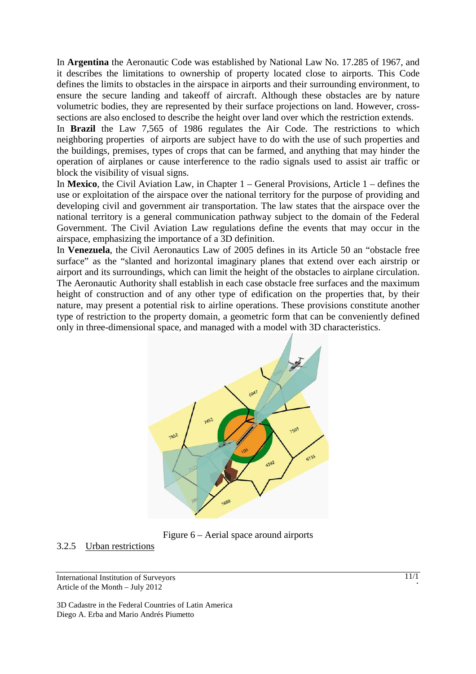In **Argentina** the Aeronautic Code was established by National Law No. 17.285 of 1967, and it describes the limitations to ownership of property located close to airports. This Code defines the limits to obstacles in the airspace in airports and their surrounding environment, to ensure the secure landing and takeoff of aircraft. Although these obstacles are by nature volumetric bodies, they are represented by their surface projections on land. However, crosssections are also enclosed to describe the height over land over which the restriction extends.

In **Brazil** the Law 7,565 of 1986 regulates the Air Code. The restrictions to which neighboring properties of airports are subject have to do with the use of such properties and the buildings, premises, types of crops that can be farmed, and anything that may hinder the operation of airplanes or cause interference to the radio signals used to assist air traffic or block the visibility of visual signs.

In **Mexico**, the Civil Aviation Law, in Chapter 1 – General Provisions, Article 1 – defines the use or exploitation of the airspace over the national territory for the purpose of providing and developing civil and government air transportation. The law states that the airspace over the national territory is a general communication pathway subject to the domain of the Federal Government. The Civil Aviation Law regulations define the events that may occur in the airspace, emphasizing the importance of a 3D definition.

In **Venezuela**, the Civil Aeronautics Law of 2005 defines in its Article 50 an "obstacle free surface" as the "slanted and horizontal imaginary planes that extend over each airstrip or airport and its surroundings, which can limit the height of the obstacles to airplane circulation. The Aeronautic Authority shall establish in each case obstacle free surfaces and the maximum height of construction and of any other type of edification on the properties that, by their nature, may present a potential risk to airline operations. These provisions constitute another type of restriction to the property domain, a geometric form that can be conveniently defined only in three-dimensional space, and managed with a model with 3D characteristics.





## 3.2.5 Urban restrictions

International Institution of Surveyors Article of the Month – July 2012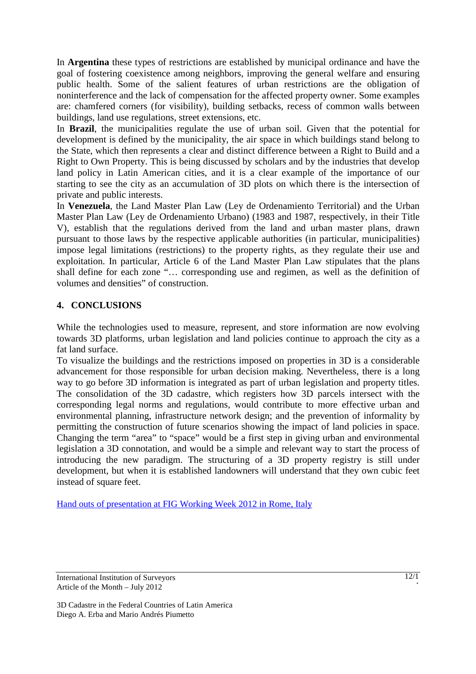In **Argentina** these types of restrictions are established by municipal ordinance and have the goal of fostering coexistence among neighbors, improving the general welfare and ensuring public health. Some of the salient features of urban restrictions are the obligation of noninterference and the lack of compensation for the affected property owner. Some examples are: chamfered corners (for visibility), building setbacks, recess of common walls between buildings, land use regulations, street extensions, etc.

In **Brazil**, the municipalities regulate the use of urban soil. Given that the potential for development is defined by the municipality, the air space in which buildings stand belong to the State, which then represents a clear and distinct difference between a Right to Build and a Right to Own Property. This is being discussed by scholars and by the industries that develop land policy in Latin American cities, and it is a clear example of the importance of our starting to see the city as an accumulation of 3D plots on which there is the intersection of private and public interests.

In **Venezuela**, the Land Master Plan Law (Ley de Ordenamiento Territorial) and the Urban Master Plan Law (Ley de Ordenamiento Urbano) (1983 and 1987, respectively, in their Title V), establish that the regulations derived from the land and urban master plans, drawn pursuant to those laws by the respective applicable authorities (in particular, municipalities) impose legal limitations (restrictions) to the property rights, as they regulate their use and exploitation. In particular, Article 6 of the Land Master Plan Law stipulates that the plans shall define for each zone "… corresponding use and regimen, as well as the definition of volumes and densities" of construction.

## **4. CONCLUSIONS**

While the technologies used to measure, represent, and store information are now evolving towards 3D platforms, urban legislation and land policies continue to approach the city as a fat land surface.

To visualize the buildings and the restrictions imposed on properties in 3D is a considerable advancement for those responsible for urban decision making. Nevertheless, there is a long way to go before 3D information is integrated as part of urban legislation and property titles. The consolidation of the 3D cadastre, which registers how 3D parcels intersect with the corresponding legal norms and regulations, would contribute to more effective urban and environmental planning, infrastructure network design; and the prevention of informality by permitting the construction of future scenarios showing the impact of land policies in space. Changing the term "area" to "space" would be a first step in giving urban and environmental legislation a 3D connotation, and would be a simple and relevant way to start the process of introducing the new paradigm. The structuring of a 3D property registry is still under development, but when it is established landowners will understand that they own cubic feet instead of square feet.

Hand outs of presentation at FIG Working Week 2012 in Rome, Italy

International Institution of Surveyors Article of the Month – July 2012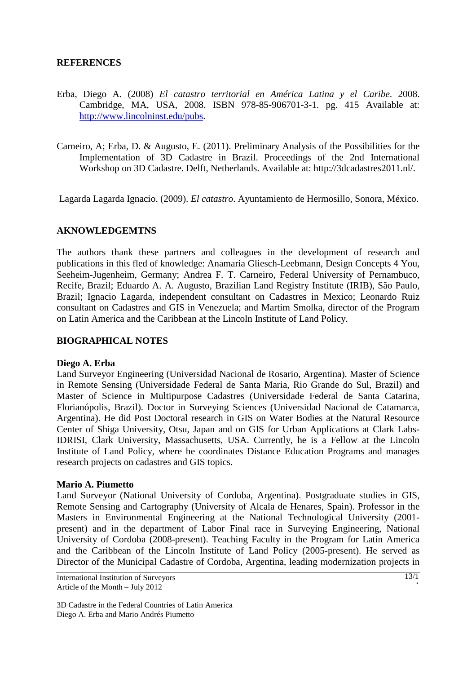#### **REFERENCES**

- Erba, Diego A. (2008) *El catastro territorial en América Latina y el Caribe*. 2008. Cambridge, MA, USA, 2008. ISBN 978-85-906701-3-1. pg. 415 Available at: http://www.lincolninst.edu/pubs.
- Carneiro, A; Erba, D. & Augusto, E. (2011). Preliminary Analysis of the Possibilities for the Implementation of 3D Cadastre in Brazil. Proceedings of the 2nd International Workshop on 3D Cadastre. Delft, Netherlands. Available at: http://3dcadastres2011.nl/.

Lagarda Lagarda Ignacio. (2009). *El catastro*. Ayuntamiento de Hermosillo, Sonora, México.

#### **AKNOWLEDGEMTNS**

The authors thank these partners and colleagues in the development of research and publications in this fled of knowledge: Anamaria Gliesch-Leebmann, Design Concepts 4 You, Seeheim-Jugenheim, Germany; Andrea F. T. Carneiro, Federal University of Pernambuco, Recife, Brazil; Eduardo A. A. Augusto, Brazilian Land Registry Institute (IRIB), São Paulo, Brazil; Ignacio Lagarda, independent consultant on Cadastres in Mexico; Leonardo Ruiz consultant on Cadastres and GIS in Venezuela; and Martim Smolka, director of the Program on Latin America and the Caribbean at the Lincoln Institute of Land Policy.

#### **BIOGRAPHICAL NOTES**

#### **Diego A. Erba**

Land Surveyor Engineering (Universidad Nacional de Rosario, Argentina). Master of Science in Remote Sensing (Universidade Federal de Santa Maria, Rio Grande do Sul, Brazil) and Master of Science in Multipurpose Cadastres (Universidade Federal de Santa Catarina, Florianópolis, Brazil). Doctor in Surveying Sciences (Universidad Nacional de Catamarca, Argentina). He did Post Doctoral research in GIS on Water Bodies at the Natural Resource Center of Shiga University, Otsu, Japan and on GIS for Urban Applications at Clark Labs-IDRISI, Clark University, Massachusetts, USA. Currently, he is a Fellow at the Lincoln Institute of Land Policy, where he coordinates Distance Education Programs and manages research projects on cadastres and GIS topics.

#### **Mario A. Piumetto**

Land Surveyor (National University of Cordoba, Argentina). Postgraduate studies in GIS, Remote Sensing and Cartography (University of Alcala de Henares, Spain). Professor in the Masters in Environmental Engineering at the National Technological University (2001 present) and in the department of Labor Final race in Surveying Engineering, National University of Cordoba (2008-present). Teaching Faculty in the Program for Latin America and the Caribbean of the Lincoln Institute of Land Policy (2005-present). He served as Director of the Municipal Cadastre of Cordoba, Argentina, leading modernization projects in

International Institution of Surveyors Article of the Month – July 2012